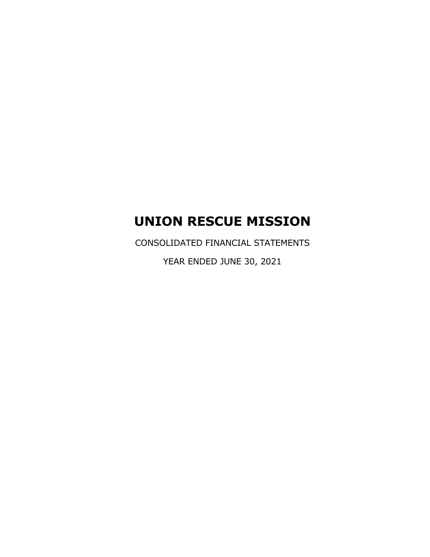CONSOLIDATED FINANCIAL STATEMENTS

YEAR ENDED JUNE 30, 2021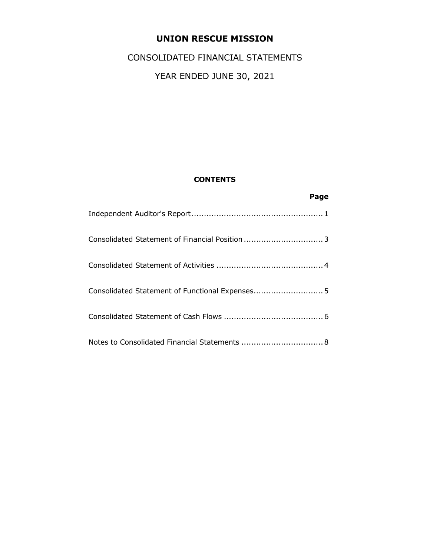# CONSOLIDATED FINANCIAL STATEMENTS

# YEAR ENDED JUNE 30, 2021

# **CONTENTS**

| Page                                            |
|-------------------------------------------------|
|                                                 |
|                                                 |
|                                                 |
| Consolidated Statement of Functional Expenses 5 |
|                                                 |
|                                                 |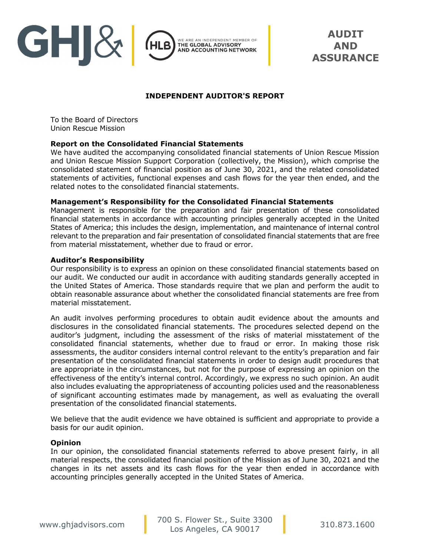

**AUDIT AND ASSURANCE** 

## **INDEPENDENT AUDITOR'S REPORT**

To the Board of Directors Union Rescue Mission

#### **Report on the Consolidated Financial Statements**

We have audited the accompanying consolidated financial statements of Union Rescue Mission and Union Rescue Mission Support Corporation (collectively, the Mission), which comprise the consolidated statement of financial position as of June 30, 2021, and the related consolidated statements of activities, functional expenses and cash flows for the year then ended, and the related notes to the consolidated financial statements.

#### **Management's Responsibility for the Consolidated Financial Statements**

Management is responsible for the preparation and fair presentation of these consolidated financial statements in accordance with accounting principles generally accepted in the United States of America; this includes the design, implementation, and maintenance of internal control relevant to the preparation and fair presentation of consolidated financial statements that are free from material misstatement, whether due to fraud or error.

#### **Auditor's Responsibility**

Our responsibility is to express an opinion on these consolidated financial statements based on our audit. We conducted our audit in accordance with auditing standards generally accepted in the United States of America. Those standards require that we plan and perform the audit to obtain reasonable assurance about whether the consolidated financial statements are free from material misstatement.

An audit involves performing procedures to obtain audit evidence about the amounts and disclosures in the consolidated financial statements. The procedures selected depend on the auditor's judgment, including the assessment of the risks of material misstatement of the consolidated financial statements, whether due to fraud or error. In making those risk assessments, the auditor considers internal control relevant to the entity's preparation and fair presentation of the consolidated financial statements in order to design audit procedures that are appropriate in the circumstances, but not for the purpose of expressing an opinion on the effectiveness of the entity's internal control. Accordingly, we express no such opinion. An audit also includes evaluating the appropriateness of accounting policies used and the reasonableness of significant accounting estimates made by management, as well as evaluating the overall presentation of the consolidated financial statements.

We believe that the audit evidence we have obtained is sufficient and appropriate to provide a basis for our audit opinion.

#### **Opinion**

In our opinion, the consolidated financial statements referred to above present fairly, in all material respects, the consolidated financial position of the Mission as of June 30, 2021 and the changes in its net assets and its cash flows for the year then ended in accordance with accounting principles generally accepted in the United States of America.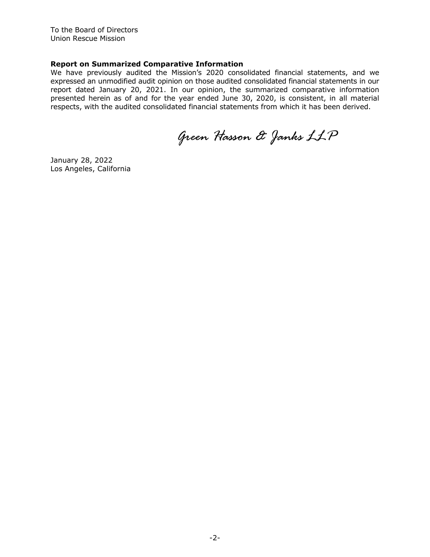To the Board of Directors Union Rescue Mission

#### **Report on Summarized Comparative Information**

We have previously audited the Mission's 2020 consolidated financial statements, and we expressed an unmodified audit opinion on those audited consolidated financial statements in our report dated January 20, 2021. In our opinion, the summarized comparative information presented herein as of and for the year ended June 30, 2020, is consistent, in all material respects, with the audited consolidated financial statements from which it has been derived.

*Green Hasson & Janks LLP* 

January 28, 2022 Los Angeles, California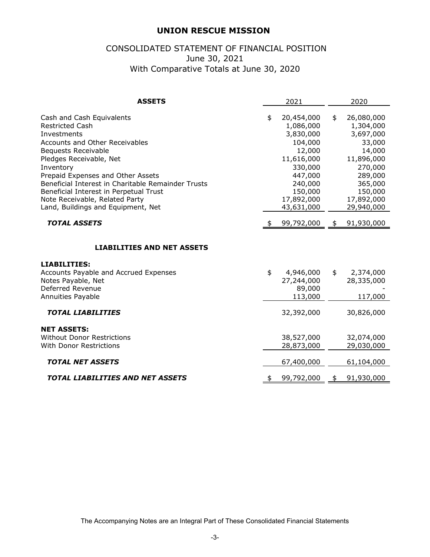# CONSOLIDATED STATEMENT OF FINANCIAL POSITION June 30, 2021 With Comparative Totals at June 30, 2020

| <b>ASSETS</b>                                                                                                                                                                                                                                                                                                                                                                           | 2021                                                                                                                                                  | 2020                                                                                                                                                 |
|-----------------------------------------------------------------------------------------------------------------------------------------------------------------------------------------------------------------------------------------------------------------------------------------------------------------------------------------------------------------------------------------|-------------------------------------------------------------------------------------------------------------------------------------------------------|------------------------------------------------------------------------------------------------------------------------------------------------------|
| Cash and Cash Equivalents<br><b>Restricted Cash</b><br>Investments<br>Accounts and Other Receivables<br><b>Bequests Receivable</b><br>Pledges Receivable, Net<br>Inventory<br>Prepaid Expenses and Other Assets<br>Beneficial Interest in Charitable Remainder Trusts<br>Beneficial Interest in Perpetual Trust<br>Note Receivable, Related Party<br>Land, Buildings and Equipment, Net | \$<br>20,454,000<br>1,086,000<br>3,830,000<br>104,000<br>12,000<br>11,616,000<br>330,000<br>447,000<br>240,000<br>150,000<br>17,892,000<br>43,631,000 | \$<br>26,080,000<br>1,304,000<br>3,697,000<br>33,000<br>14,000<br>11,896,000<br>270,000<br>289,000<br>365,000<br>150,000<br>17,892,000<br>29,940,000 |
| <b>TOTAL ASSETS</b>                                                                                                                                                                                                                                                                                                                                                                     | 99,792,000                                                                                                                                            | \$<br>91,930,000                                                                                                                                     |
| <b>LIABILITIES AND NET ASSETS</b><br><b>LIABILITIES:</b><br>Accounts Payable and Accrued Expenses<br>Notes Payable, Net<br>Deferred Revenue<br><b>Annuities Payable</b>                                                                                                                                                                                                                 | \$<br>4,946,000<br>27,244,000<br>89,000<br>113,000                                                                                                    | \$<br>2,374,000<br>28,335,000<br>117,000                                                                                                             |
| <b>TOTAL LIABILITIES</b>                                                                                                                                                                                                                                                                                                                                                                | 32,392,000                                                                                                                                            | 30,826,000                                                                                                                                           |
| <b>NET ASSETS:</b><br><b>Without Donor Restrictions</b><br><b>With Donor Restrictions</b>                                                                                                                                                                                                                                                                                               | 38,527,000<br>28,873,000                                                                                                                              | 32,074,000<br>29,030,000                                                                                                                             |
| <b>TOTAL NET ASSETS</b>                                                                                                                                                                                                                                                                                                                                                                 | 67,400,000                                                                                                                                            | 61,104,000                                                                                                                                           |
| <b>TOTAL LIABILITIES AND NET ASSETS</b>                                                                                                                                                                                                                                                                                                                                                 | \$<br>99,792,000                                                                                                                                      | \$<br>91,930,000                                                                                                                                     |

The Accompanying Notes are an Integral Part of These Consolidated Financial Statements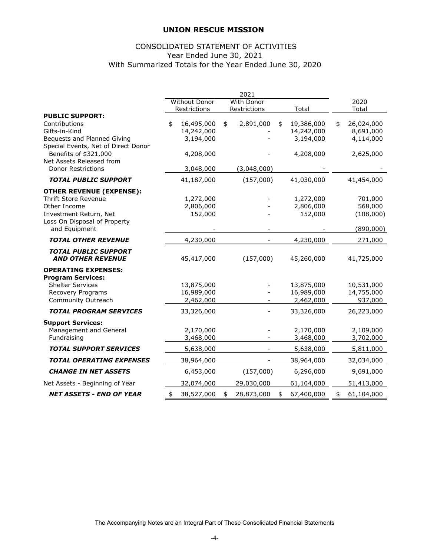## CONSOLIDATED STATEMENT OF ACTIVITIES Year Ended June 30, 2021 With Summarized Totals for the Year Ended June 30, 2020

|                                                                                                                                                           | <b>Without Donor</b>                        | <b>With Donor</b> |                                             | 2020                                         |
|-----------------------------------------------------------------------------------------------------------------------------------------------------------|---------------------------------------------|-------------------|---------------------------------------------|----------------------------------------------|
| <b>PUBLIC SUPPORT:</b>                                                                                                                                    | Restrictions                                | Restrictions      | Total                                       | Total                                        |
| Contributions<br>Gifts-in-Kind<br>Bequests and Planned Giving                                                                                             | \$<br>16,495,000<br>14,242,000<br>3,194,000 | \$<br>2,891,000   | \$<br>19,386,000<br>14,242,000<br>3,194,000 | \$<br>26,024,000<br>8,691,000<br>4,114,000   |
| Special Events, Net of Direct Donor<br>Benefits of \$321,000<br>Net Assets Released from<br><b>Donor Restrictions</b>                                     | 4,208,000<br>3,048,000                      | (3,048,000)       | 4,208,000                                   | 2,625,000                                    |
|                                                                                                                                                           |                                             |                   |                                             |                                              |
| <b>TOTAL PUBLIC SUPPORT</b>                                                                                                                               | 41,187,000                                  | (157,000)         | 41,030,000                                  | 41,454,000                                   |
| <b>OTHER REVENUE (EXPENSE):</b><br><b>Thrift Store Revenue</b><br>Other Income<br>Investment Return, Net<br>Loss On Disposal of Property<br>and Equipment | 1,272,000<br>2,806,000<br>152,000           |                   | 1,272,000<br>2,806,000<br>152,000           | 701,000<br>568,000<br>(108,000)<br>(890,000) |
| <b>TOTAL OTHER REVENUE</b>                                                                                                                                | 4,230,000                                   |                   | 4,230,000                                   | 271,000                                      |
| <b>TOTAL PUBLIC SUPPORT</b><br><b>AND OTHER REVENUE</b>                                                                                                   | 45,417,000                                  | (157,000)         | 45,260,000                                  | 41,725,000                                   |
| <b>OPERATING EXPENSES:</b><br><b>Program Services:</b><br><b>Shelter Services</b><br>Recovery Programs<br>Community Outreach                              | 13,875,000<br>16,989,000<br>2,462,000       |                   | 13,875,000<br>16,989,000<br>2,462,000       | 10,531,000<br>14,755,000<br>937,000          |
| <b>TOTAL PROGRAM SERVICES</b>                                                                                                                             | 33,326,000                                  |                   | 33,326,000                                  | 26,223,000                                   |
| <b>Support Services:</b><br>Management and General<br>Fundraising                                                                                         | 2,170,000<br>3,468,000                      |                   | 2,170,000<br>3,468,000                      | 2,109,000<br>3,702,000                       |
| <b>TOTAL SUPPORT SERVICES</b>                                                                                                                             | 5,638,000                                   |                   | 5,638,000                                   | 5,811,000                                    |
| <b>TOTAL OPERATING EXPENSES</b>                                                                                                                           | 38,964,000                                  |                   | 38,964,000                                  | 32,034,000                                   |
| <b>CHANGE IN NET ASSETS</b>                                                                                                                               | 6,453,000                                   | (157,000)         | 6,296,000                                   | 9,691,000                                    |
| Net Assets - Beginning of Year                                                                                                                            | 32,074,000                                  | 29,030,000        | 61,104,000                                  | 51,413,000                                   |
| <b>NET ASSETS - END OF YEAR</b>                                                                                                                           | \$<br>38,527,000                            | \$<br>28,873,000  | \$<br>67,400,000                            | \$<br>61,104,000                             |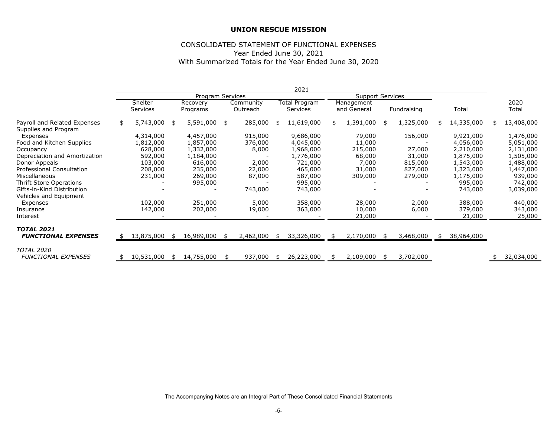#### CONSOLIDATED STATEMENT OF FUNCTIONAL EXPENSES Year Ended June 30, 2021 With Summarized Totals for the Year Ended June 30, 2020

|                                                      |    |            |      |                  |    |           | 2021             |                         |     |             |                  |     |            |
|------------------------------------------------------|----|------------|------|------------------|----|-----------|------------------|-------------------------|-----|-------------|------------------|-----|------------|
|                                                      |    |            |      | Program Services |    |           |                  | <b>Support Services</b> |     |             |                  |     |            |
|                                                      |    | Shelter    |      | Recovery         |    | Community | Total Program    | Management              |     |             |                  |     | 2020       |
|                                                      |    | Services   |      | Programs         |    | Outreach  | <b>Services</b>  | and General             |     | Fundraising | Total            |     | Total      |
| Payroll and Related Expenses<br>Supplies and Program | S. | 5,743,000  | \$   | 5,591,000        | \$ | 285,000   | \$<br>11,619,000 | \$<br>1,391,000         | -\$ | 1,325,000   | \$<br>14,335,000 | \$. | 13,408,000 |
| Expenses                                             |    | 4,314,000  |      | 4,457,000        |    | 915,000   | 9,686,000        | 79,000                  |     | 156,000     | 9,921,000        |     | 1,476,000  |
| Food and Kitchen Supplies                            |    | 1,812,000  |      | 1,857,000        |    | 376,000   | 4,045,000        | 11,000                  |     |             | 4,056,000        |     | 5,051,000  |
| Occupancy                                            |    | 628,000    |      | 1,332,000        |    | 8,000     | 1,968,000        | 215,000                 |     | 27,000      | 2,210,000        |     | 2,131,000  |
| Depreciation and Amortization                        |    | 592,000    |      | 1,184,000        |    |           | 1,776,000        | 68,000                  |     | 31,000      | 1,875,000        |     | 1,505,000  |
| Donor Appeals                                        |    | 103,000    |      | 616,000          |    | 2,000     | 721,000          | 7,000                   |     | 815,000     | 1,543,000        |     | 1,488,000  |
| <b>Professional Consultation</b>                     |    | 208,000    |      | 235,000          |    | 22,000    | 465,000          | 31,000                  |     | 827,000     | 1,323,000        |     | 1,447,000  |
| Miscellaneous                                        |    | 231,000    |      | 269,000          |    | 87,000    | 587,000          | 309,000                 |     | 279,000     | 1,175,000        |     | 939,000    |
| Thrift Store Operations                              |    |            |      | 995,000          |    |           | 995,000          |                         |     |             | 995,000          |     | 742,000    |
| Gifts-in-Kind Distribution<br>Vehicles and Equipment |    |            |      |                  |    | 743,000   | 743,000          |                         |     |             | 743,000          |     | 3,039,000  |
| Expenses                                             |    | 102,000    |      | 251,000          |    | 5,000     | 358,000          | 28,000                  |     | 2,000       | 388,000          |     | 440,000    |
| Insurance                                            |    | 142,000    |      | 202,000          |    | 19,000    | 363,000          | 10,000                  |     | 6,000       | 379,000          |     | 343,000    |
| Interest                                             |    |            |      |                  |    |           |                  | 21,000                  |     |             | 21,000           |     | 25,000     |
| <b>TOTAL 2021</b>                                    |    |            |      |                  |    |           |                  |                         |     |             |                  |     |            |
| <b>FUNCTIONAL EXPENSES</b>                           | S. | 13,875,000 | - \$ | 16,989,000       |    | 2,462,000 | \$<br>33,326,000 | \$<br>2,170,000         |     | 3,468,000   | 38,964,000       |     |            |
| <b>TOTAL 2020</b>                                    |    |            |      |                  |    |           |                  |                         |     |             |                  |     |            |
| <b>FUNCTIONAL EXPENSES</b>                           |    | 10,531,000 | -\$  | 14,755,000       | Æ. | 937,000   | \$<br>26,223,000 | \$<br>2,109,000         |     | 3,702,000   |                  |     | 32,034,000 |

The Accompanying Notes are an Integral Part of These Consolidated Financial Statements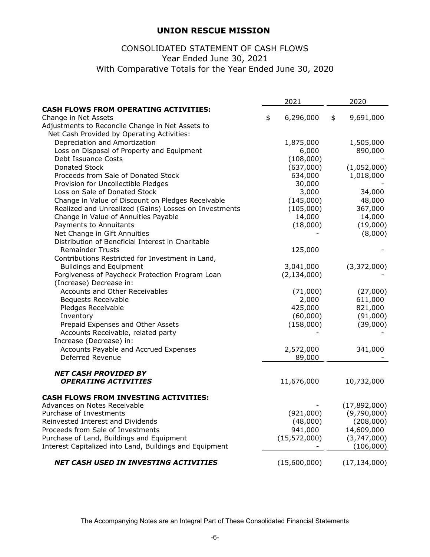# With Comparative Totals for the Year Ended June 30, 2020 CONSOLIDATED STATEMENT OF CASH FLOWS Year Ended June 30, 2021

|                                                         | 2021            | 2020            |
|---------------------------------------------------------|-----------------|-----------------|
| <b>CASH FLOWS FROM OPERATING ACTIVITIES:</b>            |                 |                 |
| Change in Net Assets                                    | \$<br>6,296,000 | \$<br>9,691,000 |
| Adjustments to Reconcile Change in Net Assets to        |                 |                 |
| Net Cash Provided by Operating Activities:              |                 |                 |
| Depreciation and Amortization                           | 1,875,000       | 1,505,000       |
| Loss on Disposal of Property and Equipment              | 6,000           | 890,000         |
| Debt Issuance Costs                                     | (108,000)       |                 |
| Donated Stock                                           | (637,000)       | (1,052,000)     |
| Proceeds from Sale of Donated Stock                     | 634,000         | 1,018,000       |
| Provision for Uncollectible Pledges                     | 30,000          |                 |
| Loss on Sale of Donated Stock                           | 3,000           | 34,000          |
| Change in Value of Discount on Pledges Receivable       | (145,000)       | 48,000          |
| Realized and Unrealized (Gains) Losses on Investments   | (105,000)       | 367,000         |
| Change in Value of Annuities Payable                    | 14,000          | 14,000          |
| Payments to Annuitants                                  | (18,000)        | (19,000)        |
| Net Change in Gift Annuities                            |                 | (8,000)         |
| Distribution of Beneficial Interest in Charitable       |                 |                 |
| <b>Remainder Trusts</b>                                 | 125,000         |                 |
| Contributions Restricted for Investment in Land,        |                 |                 |
| <b>Buildings and Equipment</b>                          | 3,041,000       | (3,372,000)     |
| Forgiveness of Paycheck Protection Program Loan         | (2, 134, 000)   |                 |
| (Increase) Decrease in:                                 |                 |                 |
| Accounts and Other Receivables                          | (71,000)        | (27,000)        |
| <b>Bequests Receivable</b>                              | 2,000           | 611,000         |
| Pledges Receivable                                      | 425,000         | 821,000         |
| Inventory                                               | (60,000)        | (91,000)        |
| Prepaid Expenses and Other Assets                       | (158,000)       | (39,000)        |
| Accounts Receivable, related party                      |                 |                 |
| Increase (Decrease) in:                                 |                 |                 |
| Accounts Payable and Accrued Expenses                   | 2,572,000       | 341,000         |
| Deferred Revenue                                        | 89,000          |                 |
|                                                         |                 |                 |
| <b>NET CASH PROVIDED BY</b>                             |                 |                 |
| <b>OPERATING ACTIVITIES</b>                             | 11,676,000      | 10,732,000      |
|                                                         |                 |                 |
| <b>CASH FLOWS FROM INVESTING ACTIVITIES:</b>            |                 |                 |
| Advances on Notes Receivable                            |                 | (17,892,000)    |
| Purchase of Investments                                 | (921,000)       | (9,790,000)     |
| Reinvested Interest and Dividends                       | (48,000)        | (208,000)       |
| Proceeds from Sale of Investments                       | 941,000         | 14,609,000      |
| Purchase of Land, Buildings and Equipment               | (15, 572, 000)  | (3,747,000)     |
| Interest Capitalized into Land, Buildings and Equipment |                 | (106,000)       |
| NET CASH USED IN INVESTING ACTIVITIES                   | (15,600,000)    | (17, 134, 000)  |
|                                                         |                 |                 |

The Accompanying Notes are an Integral Part of These Consolidated Financial Statements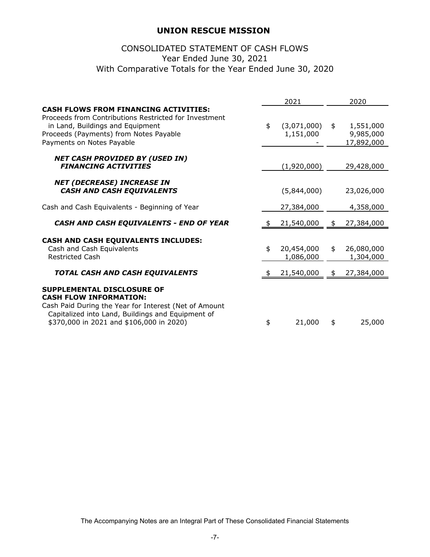# With Comparative Totals for the Year Ended June 30, 2020 CONSOLIDATED STATEMENT OF CASH FLOWS Year Ended June 30, 2021

|                                                                                                                                                                                                                       | 2021                           | 2020                                       |
|-----------------------------------------------------------------------------------------------------------------------------------------------------------------------------------------------------------------------|--------------------------------|--------------------------------------------|
| <b>CASH FLOWS FROM FINANCING ACTIVITIES:</b><br>Proceeds from Contributions Restricted for Investment<br>in Land, Buildings and Equipment<br>Proceeds (Payments) from Notes Payable<br>Payments on Notes Payable      | \$<br>(3,071,000)<br>1,151,000 | \$<br>1,551,000<br>9,985,000<br>17,892,000 |
| <b>NET CASH PROVIDED BY (USED IN)</b><br><b>FINANCING ACTIVITIES</b>                                                                                                                                                  | (1,920,000)                    | 29,428,000                                 |
| <b>NET (DECREASE) INCREASE IN</b><br><b>CASH AND CASH EQUIVALENTS</b>                                                                                                                                                 | (5,844,000)                    | 23,026,000                                 |
| Cash and Cash Equivalents - Beginning of Year                                                                                                                                                                         | 27,384,000                     | 4,358,000                                  |
| CASH AND CASH EQUIVALENTS - END OF YEAR                                                                                                                                                                               | 21,540,000                     | \$<br>27,384,000                           |
| CASH AND CASH EQUIVALENTS INCLUDES:<br>Cash and Cash Equivalents<br><b>Restricted Cash</b>                                                                                                                            | \$<br>20,454,000<br>1,086,000  | \$<br>26,080,000<br>1,304,000              |
| TOTAL CASH AND CASH EQUIVALENTS                                                                                                                                                                                       | 21,540,000                     | \$<br>27,384,000                           |
| SUPPLEMENTAL DISCLOSURE OF<br><b>CASH FLOW INFORMATION:</b><br>Cash Paid During the Year for Interest (Net of Amount<br>Capitalized into Land, Buildings and Equipment of<br>\$370,000 in 2021 and \$106,000 in 2020) | \$<br>21,000                   | \$<br>25,000                               |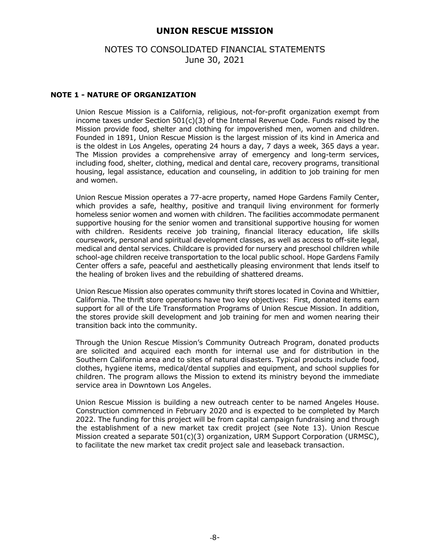## NOTES TO CONSOLIDATED FINANCIAL STATEMENTS June 30, 2021

### **NOTE 1 - NATURE OF ORGANIZATION**

Union Rescue Mission is a California, religious, not-for-profit organization exempt from income taxes under Section  $501(c)(3)$  of the Internal Revenue Code. Funds raised by the Mission provide food, shelter and clothing for impoverished men, women and children. Founded in 1891, Union Rescue Mission is the largest mission of its kind in America and is the oldest in Los Angeles, operating 24 hours a day, 7 days a week, 365 days a year. The Mission provides a comprehensive array of emergency and long-term services, including food, shelter, clothing, medical and dental care, recovery programs, transitional housing, legal assistance, education and counseling, in addition to job training for men and women.

Union Rescue Mission operates a 77-acre property, named Hope Gardens Family Center, which provides a safe, healthy, positive and tranquil living environment for formerly homeless senior women and women with children. The facilities accommodate permanent supportive housing for the senior women and transitional supportive housing for women with children. Residents receive job training, financial literacy education, life skills coursework, personal and spiritual development classes, as well as access to off-site legal, medical and dental services. Childcare is provided for nursery and preschool children while school-age children receive transportation to the local public school. Hope Gardens Family Center offers a safe, peaceful and aesthetically pleasing environment that lends itself to the healing of broken lives and the rebuilding of shattered dreams.

Union Rescue Mission also operates community thrift stores located in Covina and Whittier, California. The thrift store operations have two key objectives: First, donated items earn support for all of the Life Transformation Programs of Union Rescue Mission. In addition, the stores provide skill development and job training for men and women nearing their transition back into the community.

Through the Union Rescue Mission's Community Outreach Program, donated products are solicited and acquired each month for internal use and for distribution in the Southern California area and to sites of natural disasters. Typical products include food, clothes, hygiene items, medical/dental supplies and equipment, and school supplies for children. The program allows the Mission to extend its ministry beyond the immediate service area in Downtown Los Angeles.

Union Rescue Mission is building a new outreach center to be named Angeles House. Construction commenced in February 2020 and is expected to be completed by March 2022. The funding for this project will be from capital campaign fundraising and through the establishment of a new market tax credit project (see Note 13). Union Rescue Mission created a separate 501(c)(3) organization, URM Support Corporation (URMSC), to facilitate the new market tax credit project sale and leaseback transaction.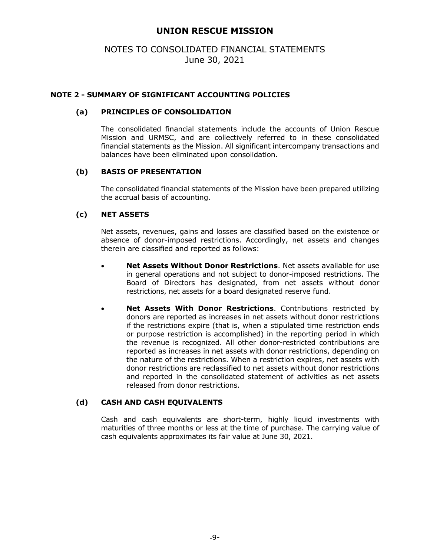# NOTES TO CONSOLIDATED FINANCIAL STATEMENTS June 30, 2021

## **NOTE 2 - SUMMARY OF SIGNIFICANT ACCOUNTING POLICIES**

### **(a) PRINCIPLES OF CONSOLIDATION**

The consolidated financial statements include the accounts of Union Rescue Mission and URMSC, and are collectively referred to in these consolidated financial statements as the Mission. All significant intercompany transactions and balances have been eliminated upon consolidation.

## **(b) BASIS OF PRESENTATION**

The consolidated financial statements of the Mission have been prepared utilizing the accrual basis of accounting.

## **(c) NET ASSETS**

Net assets, revenues, gains and losses are classified based on the existence or absence of donor-imposed restrictions. Accordingly, net assets and changes therein are classified and reported as follows:

- **Net Assets Without Donor Restrictions**. Net assets available for use in general operations and not subject to donor-imposed restrictions. The Board of Directors has designated, from net assets without donor restrictions, net assets for a board designated reserve fund.
- **Net Assets With Donor Restrictions**. Contributions restricted by donors are reported as increases in net assets without donor restrictions if the restrictions expire (that is, when a stipulated time restriction ends or purpose restriction is accomplished) in the reporting period in which the revenue is recognized. All other donor-restricted contributions are reported as increases in net assets with donor restrictions, depending on the nature of the restrictions. When a restriction expires, net assets with donor restrictions are reclassified to net assets without donor restrictions and reported in the consolidated statement of activities as net assets released from donor restrictions.

#### **(d) CASH AND CASH EQUIVALENTS**

Cash and cash equivalents are short-term, highly liquid investments with maturities of three months or less at the time of purchase. The carrying value of cash equivalents approximates its fair value at June 30, 2021.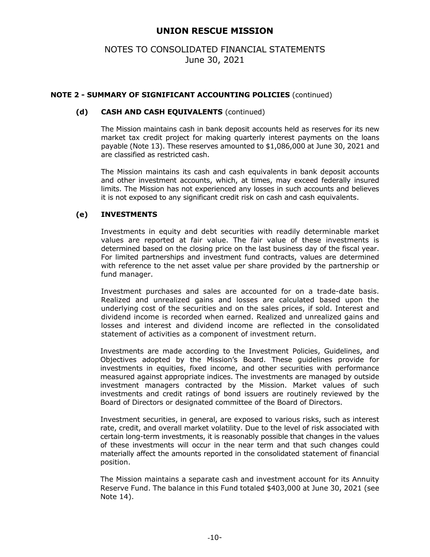# NOTES TO CONSOLIDATED FINANCIAL STATEMENTS June 30, 2021

## **NOTE 2 - SUMMARY OF SIGNIFICANT ACCOUNTING POLICIES** (continued)

#### **(d) CASH AND CASH EQUIVALENTS** (continued)

The Mission maintains cash in bank deposit accounts held as reserves for its new market tax credit project for making quarterly interest payments on the loans payable (Note 13). These reserves amounted to \$1,086,000 at June 30, 2021 and are classified as restricted cash.

The Mission maintains its cash and cash equivalents in bank deposit accounts and other investment accounts, which, at times, may exceed federally insured limits. The Mission has not experienced any losses in such accounts and believes it is not exposed to any significant credit risk on cash and cash equivalents.

## **(e) INVESTMENTS**

Investments in equity and debt securities with readily determinable market values are reported at fair value. The fair value of these investments is determined based on the closing price on the last business day of the fiscal year. For limited partnerships and investment fund contracts, values are determined with reference to the net asset value per share provided by the partnership or fund manager.

Investment purchases and sales are accounted for on a trade-date basis. Realized and unrealized gains and losses are calculated based upon the underlying cost of the securities and on the sales prices, if sold. Interest and dividend income is recorded when earned. Realized and unrealized gains and losses and interest and dividend income are reflected in the consolidated statement of activities as a component of investment return.

Investments are made according to the Investment Policies, Guidelines, and Objectives adopted by the Mission's Board. These guidelines provide for investments in equities, fixed income, and other securities with performance measured against appropriate indices. The investments are managed by outside investment managers contracted by the Mission. Market values of such investments and credit ratings of bond issuers are routinely reviewed by the Board of Directors or designated committee of the Board of Directors.

Investment securities, in general, are exposed to various risks, such as interest rate, credit, and overall market volatility. Due to the level of risk associated with certain long-term investments, it is reasonably possible that changes in the values of these investments will occur in the near term and that such changes could materially affect the amounts reported in the consolidated statement of financial position.

The Mission maintains a separate cash and investment account for its Annuity Reserve Fund. The balance in this Fund totaled \$403,000 at June 30, 2021 (see Note 14).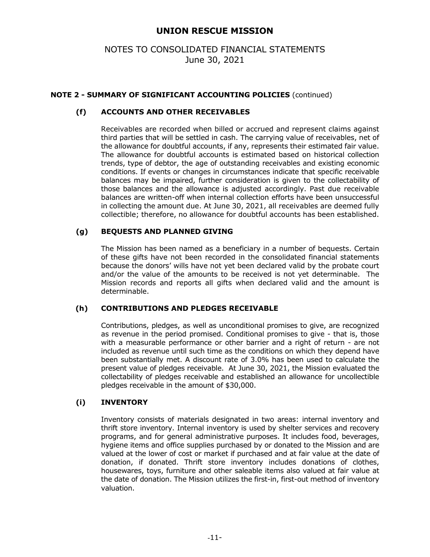# NOTES TO CONSOLIDATED FINANCIAL STATEMENTS June 30, 2021

## **NOTE 2 - SUMMARY OF SIGNIFICANT ACCOUNTING POLICIES** (continued)

## **(f) ACCOUNTS AND OTHER RECEIVABLES**

Receivables are recorded when billed or accrued and represent claims against third parties that will be settled in cash. The carrying value of receivables, net of the allowance for doubtful accounts, if any, represents their estimated fair value. The allowance for doubtful accounts is estimated based on historical collection trends, type of debtor, the age of outstanding receivables and existing economic conditions. If events or changes in circumstances indicate that specific receivable balances may be impaired, further consideration is given to the collectability of those balances and the allowance is adjusted accordingly. Past due receivable balances are written-off when internal collection efforts have been unsuccessful in collecting the amount due. At June 30, 2021, all receivables are deemed fully collectible; therefore, no allowance for doubtful accounts has been established.

## **(g) BEQUESTS AND PLANNED GIVING**

The Mission has been named as a beneficiary in a number of bequests. Certain of these gifts have not been recorded in the consolidated financial statements because the donors' wills have not yet been declared valid by the probate court and/or the value of the amounts to be received is not yet determinable. The Mission records and reports all gifts when declared valid and the amount is determinable.

#### **(h) CONTRIBUTIONS AND PLEDGES RECEIVABLE**

Contributions, pledges, as well as unconditional promises to give, are recognized as revenue in the period promised. Conditional promises to give - that is, those with a measurable performance or other barrier and a right of return - are not included as revenue until such time as the conditions on which they depend have been substantially met. A discount rate of 3.0% has been used to calculate the present value of pledges receivable. At June 30, 2021, the Mission evaluated the collectability of pledges receivable and established an allowance for uncollectible pledges receivable in the amount of \$30,000.

#### **(i) INVENTORY**

Inventory consists of materials designated in two areas: internal inventory and thrift store inventory. Internal inventory is used by shelter services and recovery programs, and for general administrative purposes. It includes food, beverages, hygiene items and office supplies purchased by or donated to the Mission and are valued at the lower of cost or market if purchased and at fair value at the date of donation, if donated. Thrift store inventory includes donations of clothes, housewares, toys, furniture and other saleable items also valued at fair value at the date of donation. The Mission utilizes the first-in, first-out method of inventory valuation.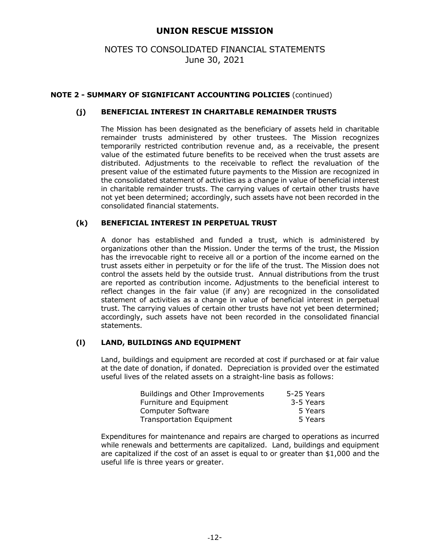# NOTES TO CONSOLIDATED FINANCIAL STATEMENTS June 30, 2021

## **NOTE 2 - SUMMARY OF SIGNIFICANT ACCOUNTING POLICIES** (continued)

## **(j) BENEFICIAL INTEREST IN CHARITABLE REMAINDER TRUSTS**

The Mission has been designated as the beneficiary of assets held in charitable remainder trusts administered by other trustees. The Mission recognizes temporarily restricted contribution revenue and, as a receivable, the present value of the estimated future benefits to be received when the trust assets are distributed. Adjustments to the receivable to reflect the revaluation of the present value of the estimated future payments to the Mission are recognized in the consolidated statement of activities as a change in value of beneficial interest in charitable remainder trusts. The carrying values of certain other trusts have not yet been determined; accordingly, such assets have not been recorded in the consolidated financial statements.

#### **(k) BENEFICIAL INTEREST IN PERPETUAL TRUST**

A donor has established and funded a trust, which is administered by organizations other than the Mission. Under the terms of the trust, the Mission has the irrevocable right to receive all or a portion of the income earned on the trust assets either in perpetuity or for the life of the trust. The Mission does not control the assets held by the outside trust. Annual distributions from the trust are reported as contribution income. Adjustments to the beneficial interest to reflect changes in the fair value (if any) are recognized in the consolidated statement of activities as a change in value of beneficial interest in perpetual trust. The carrying values of certain other trusts have not yet been determined; accordingly, such assets have not been recorded in the consolidated financial statements.

#### **(l) LAND, BUILDINGS AND EQUIPMENT**

Land, buildings and equipment are recorded at cost if purchased or at fair value at the date of donation, if donated. Depreciation is provided over the estimated useful lives of the related assets on a straight-line basis as follows:

| Buildings and Other Improvements | 5-25 Years |
|----------------------------------|------------|
| Furniture and Equipment          | 3-5 Years  |
| Computer Software                | 5 Years    |
| <b>Transportation Equipment</b>  | 5 Years    |

Expenditures for maintenance and repairs are charged to operations as incurred while renewals and betterments are capitalized. Land, buildings and equipment are capitalized if the cost of an asset is equal to or greater than \$1,000 and the useful life is three years or greater.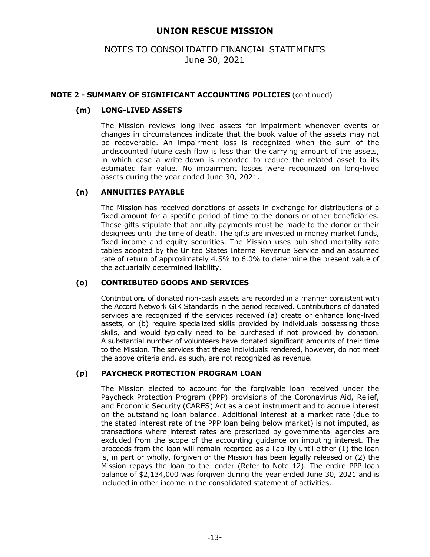# NOTES TO CONSOLIDATED FINANCIAL STATEMENTS June 30, 2021

### **NOTE 2 - SUMMARY OF SIGNIFICANT ACCOUNTING POLICIES** (continued)

## **(m) LONG-LIVED ASSETS**

The Mission reviews long-lived assets for impairment whenever events or changes in circumstances indicate that the book value of the assets may not be recoverable. An impairment loss is recognized when the sum of the undiscounted future cash flow is less than the carrying amount of the assets, in which case a write-down is recorded to reduce the related asset to its estimated fair value. No impairment losses were recognized on long-lived assets during the year ended June 30, 2021.

#### **(n) ANNUITIES PAYABLE**

The Mission has received donations of assets in exchange for distributions of a fixed amount for a specific period of time to the donors or other beneficiaries. These gifts stipulate that annuity payments must be made to the donor or their designees until the time of death. The gifts are invested in money market funds, fixed income and equity securities. The Mission uses published mortality-rate tables adopted by the United States Internal Revenue Service and an assumed rate of return of approximately 4.5% to 6.0% to determine the present value of the actuarially determined liability.

## **(o) CONTRIBUTED GOODS AND SERVICES**

Contributions of donated non-cash assets are recorded in a manner consistent with the Accord Network GIK Standards in the period received. Contributions of donated services are recognized if the services received (a) create or enhance long-lived assets, or (b) require specialized skills provided by individuals possessing those skills, and would typically need to be purchased if not provided by donation. A substantial number of volunteers have donated significant amounts of their time to the Mission. The services that these individuals rendered, however, do not meet the above criteria and, as such, are not recognized as revenue.

#### **(p) PAYCHECK PROTECTION PROGRAM LOAN**

The Mission elected to account for the forgivable loan received under the Paycheck Protection Program (PPP) provisions of the Coronavirus Aid, Relief, and Economic Security (CARES) Act as a debt instrument and to accrue interest on the outstanding loan balance. Additional interest at a market rate (due to the stated interest rate of the PPP loan being below market) is not imputed, as transactions where interest rates are prescribed by governmental agencies are excluded from the scope of the accounting guidance on imputing interest. The proceeds from the loan will remain recorded as a liability until either (1) the loan is, in part or wholly, forgiven or the Mission has been legally released or (2) the Mission repays the loan to the lender (Refer to Note 12). The entire PPP loan balance of \$2,134,000 was forgiven during the year ended June 30, 2021 and is included in other income in the consolidated statement of activities.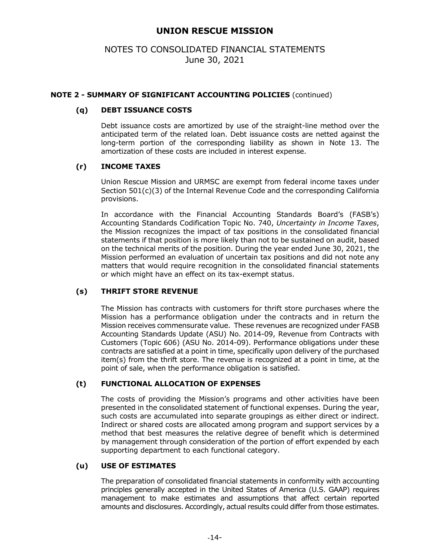# NOTES TO CONSOLIDATED FINANCIAL STATEMENTS June 30, 2021

### **NOTE 2 - SUMMARY OF SIGNIFICANT ACCOUNTING POLICIES** (continued)

### **(q) DEBT ISSUANCE COSTS**

Debt issuance costs are amortized by use of the straight-line method over the anticipated term of the related loan. Debt issuance costs are netted against the long-term portion of the corresponding liability as shown in Note 13. The amortization of these costs are included in interest expense.

## **(r) INCOME TAXES**

Union Rescue Mission and URMSC are exempt from federal income taxes under Section 501(c)(3) of the Internal Revenue Code and the corresponding California provisions.

In accordance with the Financial Accounting Standards Board's (FASB's) Accounting Standards Codification Topic No. 740, *Uncertainty in Income Taxes*, the Mission recognizes the impact of tax positions in the consolidated financial statements if that position is more likely than not to be sustained on audit, based on the technical merits of the position. During the year ended June 30, 2021, the Mission performed an evaluation of uncertain tax positions and did not note any matters that would require recognition in the consolidated financial statements or which might have an effect on its tax-exempt status.

#### **(s) THRIFT STORE REVENUE**

The Mission has contracts with customers for thrift store purchases where the Mission has a performance obligation under the contracts and in return the Mission receives commensurate value. These revenues are recognized under FASB Accounting Standards Update (ASU) No. 2014-09, Revenue from Contracts with Customers (Topic 606) (ASU No. 2014-09). Performance obligations under these contracts are satisfied at a point in time, specifically upon delivery of the purchased item(s) from the thrift store. The revenue is recognized at a point in time, at the point of sale, when the performance obligation is satisfied.

## **(t) FUNCTIONAL ALLOCATION OF EXPENSES**

The costs of providing the Mission's programs and other activities have been presented in the consolidated statement of functional expenses. During the year, such costs are accumulated into separate groupings as either direct or indirect. Indirect or shared costs are allocated among program and support services by a method that best measures the relative degree of benefit which is determined by management through consideration of the portion of effort expended by each supporting department to each functional category.

#### **(u) USE OF ESTIMATES**

The preparation of consolidated financial statements in conformity with accounting principles generally accepted in the United States of America (U.S. GAAP) requires management to make estimates and assumptions that affect certain reported amounts and disclosures. Accordingly, actual results could differ from those estimates.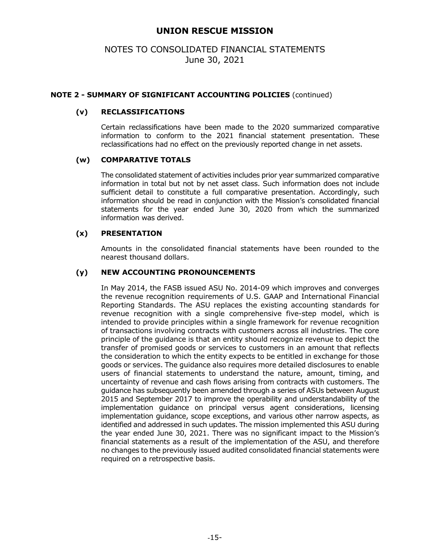## NOTES TO CONSOLIDATED FINANCIAL STATEMENTS June 30, 2021

### **NOTE 2 - SUMMARY OF SIGNIFICANT ACCOUNTING POLICIES** (continued)

### **(v) RECLASSIFICATIONS**

Certain reclassifications have been made to the 2020 summarized comparative information to conform to the 2021 financial statement presentation. These reclassifications had no effect on the previously reported change in net assets.

#### **(w) COMPARATIVE TOTALS**

The consolidated statement of activities includes prior year summarized comparative information in total but not by net asset class. Such information does not include sufficient detail to constitute a full comparative presentation. Accordingly, such information should be read in conjunction with the Mission's consolidated financial statements for the year ended June 30, 2020 from which the summarized information was derived.

#### **(x) PRESENTATION**

Amounts in the consolidated financial statements have been rounded to the nearest thousand dollars.

## **(y) NEW ACCOUNTING PRONOUNCEMENTS**

In May 2014, the FASB issued ASU No. 2014-09 which improves and converges the revenue recognition requirements of U.S. GAAP and International Financial Reporting Standards. The ASU replaces the existing accounting standards for revenue recognition with a single comprehensive five-step model, which is intended to provide principles within a single framework for revenue recognition of transactions involving contracts with customers across all industries. The core principle of the guidance is that an entity should recognize revenue to depict the transfer of promised goods or services to customers in an amount that reflects the consideration to which the entity expects to be entitled in exchange for those goods or services. The guidance also requires more detailed disclosures to enable users of financial statements to understand the nature, amount, timing, and uncertainty of revenue and cash flows arising from contracts with customers. The guidance has subsequently been amended through a series of ASUs between August 2015 and September 2017 to improve the operability and understandability of the implementation guidance on principal versus agent considerations, licensing implementation guidance, scope exceptions, and various other narrow aspects, as identified and addressed in such updates. The mission implemented this ASU during the year ended June 30, 2021. There was no significant impact to the Mission's financial statements as a result of the implementation of the ASU, and therefore no changes to the previously issued audited consolidated financial statements were required on a retrospective basis.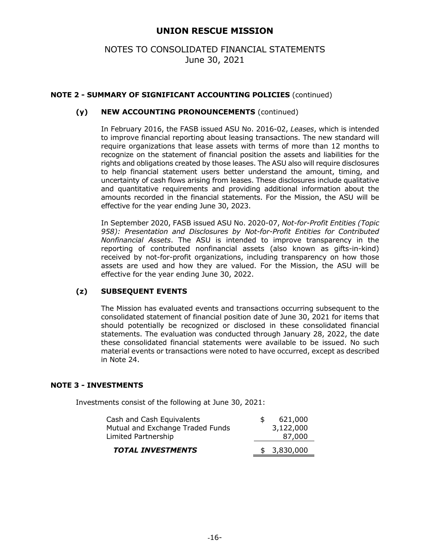# NOTES TO CONSOLIDATED FINANCIAL STATEMENTS June 30, 2021

## **NOTE 2 - SUMMARY OF SIGNIFICANT ACCOUNTING POLICIES** (continued)

## **(y) NEW ACCOUNTING PRONOUNCEMENTS** (continued)

In February 2016, the FASB issued ASU No. 2016-02, *Leases*, which is intended to improve financial reporting about leasing transactions. The new standard will require organizations that lease assets with terms of more than 12 months to recognize on the statement of financial position the assets and liabilities for the rights and obligations created by those leases. The ASU also will require disclosures to help financial statement users better understand the amount, timing, and uncertainty of cash flows arising from leases. These disclosures include qualitative and quantitative requirements and providing additional information about the amounts recorded in the financial statements. For the Mission, the ASU will be effective for the year ending June 30, 2023.

In September 2020, FASB issued ASU No. 2020-07, *Not-for-Profit Entities (Topic 958): Presentation and Disclosures by Not-for-Profit Entities for Contributed Nonfinancial Assets*. The ASU is intended to improve transparency in the reporting of contributed nonfinancial assets (also known as gifts-in-kind) received by not-for-profit organizations, including transparency on how those assets are used and how they are valued. For the Mission, the ASU will be effective for the year ending June 30, 2022.

#### **(z) SUBSEQUENT EVENTS**

The Mission has evaluated events and transactions occurring subsequent to the consolidated statement of financial position date of June 30, 2021 for items that should potentially be recognized or disclosed in these consolidated financial statements. The evaluation was conducted through January 28, 2022, the date these consolidated financial statements were available to be issued. No such material events or transactions were noted to have occurred, except as described in Note 24.

#### **NOTE 3 - INVESTMENTS**

Investments consist of the following at June 30, 2021:

| Cash and Cash Equivalents<br>Mutual and Exchange Traded Funds<br>Limited Partnership | 621,000<br>3,122,000<br>87,000 |
|--------------------------------------------------------------------------------------|--------------------------------|
| <b>TOTAL INVESTMENTS</b>                                                             | \$3,830,000                    |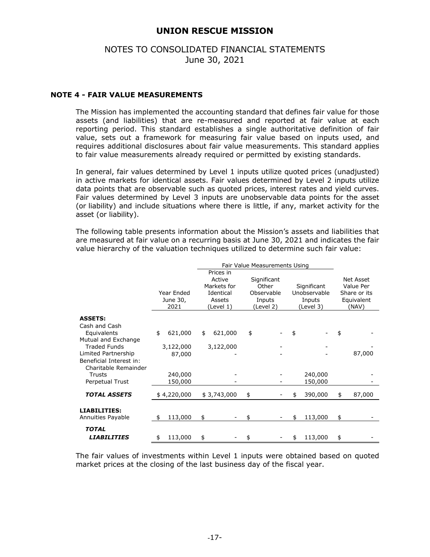## NOTES TO CONSOLIDATED FINANCIAL STATEMENTS June 30, 2021

### **NOTE 4 - FAIR VALUE MEASUREMENTS**

The Mission has implemented the accounting standard that defines fair value for those assets (and liabilities) that are re-measured and reported at fair value at each reporting period. This standard establishes a single authoritative definition of fair value, sets out a framework for measuring fair value based on inputs used, and requires additional disclosures about fair value measurements. This standard applies to fair value measurements already required or permitted by existing standards.

In general, fair values determined by Level 1 inputs utilize quoted prices (unadjusted) in active markets for identical assets. Fair values determined by Level 2 inputs utilize data points that are observable such as quoted prices, interest rates and yield curves. Fair values determined by Level 3 inputs are unobservable data points for the asset (or liability) and include situations where there is little, if any, market activity for the asset (or liability).

The following table presents information about the Mission's assets and liabilities that are measured at fair value on a recurring basis at June 30, 2021 and indicates the fair value hierarchy of the valuation techniques utilized to determine such fair value:

|                                            | Year Ended<br>June 30,<br>2021 | Prices in<br>Active<br>Markets for<br>Identical<br>Assets<br>(Level 1) | Significant<br>Other<br>Observable<br>Inputs<br>(Level 2) | Significant<br>Unobservable<br>Inputs<br>(Level 3) | <b>Net Asset</b><br>Value Per<br>Share or its<br>Equivalent<br>(NAV) |
|--------------------------------------------|--------------------------------|------------------------------------------------------------------------|-----------------------------------------------------------|----------------------------------------------------|----------------------------------------------------------------------|
| <b>ASSETS:</b>                             |                                |                                                                        |                                                           |                                                    |                                                                      |
| Cash and Cash                              |                                |                                                                        |                                                           |                                                    |                                                                      |
| Equivalents                                | \$<br>621,000                  | \$<br>621,000                                                          | \$                                                        | \$                                                 | \$                                                                   |
| Mutual and Exchange<br><b>Traded Funds</b> |                                |                                                                        |                                                           |                                                    |                                                                      |
| Limited Partnership                        | 3,122,000<br>87,000            | 3,122,000                                                              |                                                           |                                                    | 87,000                                                               |
| Beneficial Interest in:                    |                                |                                                                        |                                                           |                                                    |                                                                      |
| Charitable Remainder                       |                                |                                                                        |                                                           |                                                    |                                                                      |
| Trusts                                     | 240,000                        |                                                                        |                                                           | 240,000                                            |                                                                      |
| Perpetual Trust                            | 150,000                        |                                                                        |                                                           | 150,000                                            |                                                                      |
| <b>TOTAL ASSETS</b>                        | \$4,220,000                    | \$3,743,000                                                            | \$                                                        | \$<br>390,000                                      | \$<br>87,000                                                         |
|                                            |                                |                                                                        |                                                           |                                                    |                                                                      |
| <b>LIABILITIES:</b><br>Annuities Payable   | 113,000<br>\$                  | \$                                                                     | \$                                                        | 113,000                                            | \$                                                                   |
| <b>TOTAL</b>                               |                                |                                                                        |                                                           |                                                    |                                                                      |
| LIABILITIES                                | 113,000<br>\$                  | \$                                                                     | \$                                                        | \$<br>113,000                                      | \$                                                                   |

The fair values of investments within Level 1 inputs were obtained based on quoted market prices at the closing of the last business day of the fiscal year.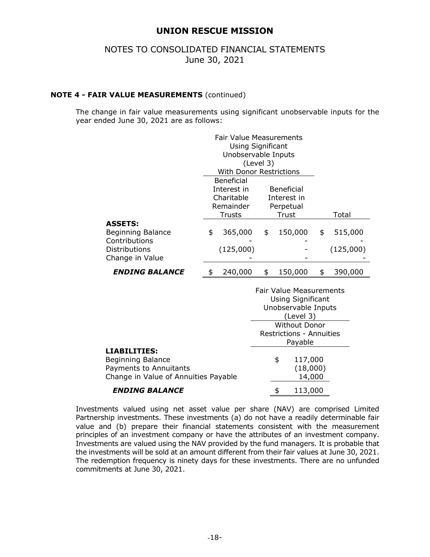## NOTES TO CONSOLIDATED FINANCIAL STATEMENTS June 30, 2021

### **NOTE 4 - FAIR VALUE MEASUREMENTS** (continued)

The change in fair value measurements using significant unobservable inputs for the year ended June 30, 2021 are as follows:

|                          | <b>Fair Value Measurements</b> |                         |               |
|--------------------------|--------------------------------|-------------------------|---------------|
|                          | <b>Using Significant</b>       |                         |               |
|                          | Unobservable Inputs            |                         |               |
|                          | (Level 3)                      |                         |               |
|                          | <b>With Donor Restrictions</b> |                         |               |
|                          | <b>Beneficial</b>              |                         |               |
|                          | Interest in                    | <b>Beneficial</b>       |               |
|                          | Charitable                     | Interest in             |               |
|                          | Remainder                      | Perpetual               |               |
|                          | Trusts                         | Trust                   | Total         |
| <b>ASSETS:</b>           |                                |                         |               |
| <b>Beginning Balance</b> | \$<br>365,000                  | \$<br>150,000           | \$<br>515,000 |
| Contributions            |                                |                         |               |
| Distributions            | (125,000)                      |                         | (125,000)     |
| Change in Value          |                                |                         |               |
| <b>ENDING BALANCE</b>    | \$<br>240,000                  | \$<br>150,000           | \$<br>390,000 |
|                          |                                | Enir Value Moncuraments |               |

|                                                                                                                   | <b>Fair Value Measurements</b><br><b>Using Significant</b> |                               |  |  |  |
|-------------------------------------------------------------------------------------------------------------------|------------------------------------------------------------|-------------------------------|--|--|--|
|                                                                                                                   | Unobservable Inputs<br>(Level 3)                           |                               |  |  |  |
|                                                                                                                   | <b>Without Donor</b>                                       |                               |  |  |  |
|                                                                                                                   | <b>Restrictions - Annuities</b><br>Payable                 |                               |  |  |  |
| <b>LIABILITIES:</b><br><b>Beginning Balance</b><br>Payments to Annuitants<br>Change in Value of Annuities Payable | \$                                                         | 117,000<br>(18,000)<br>14,000 |  |  |  |
| <b>ENDING BALANCE</b>                                                                                             | \$                                                         | 113,000                       |  |  |  |

Investments valued using net asset value per share (NAV) are comprised Limited Partnership investments. These investments (a) do not have a readily determinable fair value and (b) prepare their financial statements consistent with the measurement principles of an investment company or have the attributes of an investment company. Investments are valued using the NAV provided by the fund managers. It is probable that the investments will be sold at an amount different from their fair values at June 30, 2021. The redemption frequency is ninety days for these investments. There are no unfunded commitments at June 30, 2021.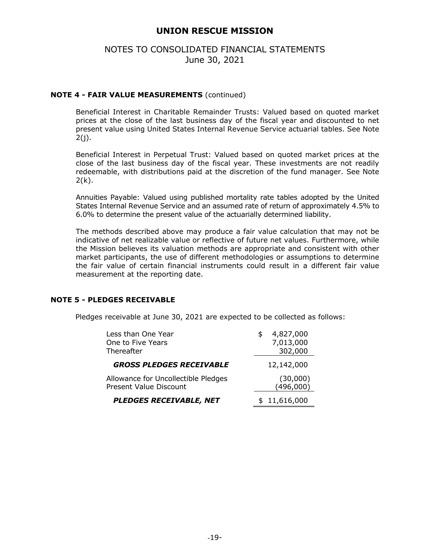## NOTES TO CONSOLIDATED FINANCIAL STATEMENTS June 30, 2021

### **NOTE 4 - FAIR VALUE MEASUREMENTS** (continued)

Beneficial Interest in Charitable Remainder Trusts: Valued based on quoted market prices at the close of the last business day of the fiscal year and discounted to net present value using United States Internal Revenue Service actuarial tables. See Note 2(j).

Beneficial Interest in Perpetual Trust: Valued based on quoted market prices at the close of the last business day of the fiscal year. These investments are not readily redeemable, with distributions paid at the discretion of the fund manager. See Note  $2(k)$ .

Annuities Payable: Valued using published mortality rate tables adopted by the United States Internal Revenue Service and an assumed rate of return of approximately 4.5% to 6.0% to determine the present value of the actuarially determined liability.

 The methods described above may produce a fair value calculation that may not be indicative of net realizable value or reflective of future net values. Furthermore, while the Mission believes its valuation methods are appropriate and consistent with other market participants, the use of different methodologies or assumptions to determine the fair value of certain financial instruments could result in a different fair value measurement at the reporting date.

#### **NOTE 5 - PLEDGES RECEIVABLE**

Pledges receivable at June 30, 2021 are expected to be collected as follows:

| Less than One Year                  | 4,827,000    |
|-------------------------------------|--------------|
| One to Five Years                   | 7,013,000    |
| Thereafter                          | 302,000      |
| <b>GROSS PLEDGES RECEIVABLE</b>     | 12,142,000   |
| Allowance for Uncollectible Pledges | (30,000)     |
| Present Value Discount              | (496,000)    |
| <b>PLEDGES RECEIVABLE, NET</b>      | \$11,616,000 |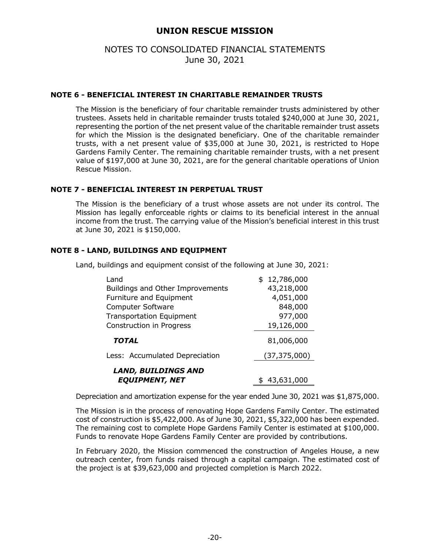## NOTES TO CONSOLIDATED FINANCIAL STATEMENTS June 30, 2021

#### **NOTE 6 - BENEFICIAL INTEREST IN CHARITABLE REMAINDER TRUSTS**

The Mission is the beneficiary of four charitable remainder trusts administered by other trustees. Assets held in charitable remainder trusts totaled \$240,000 at June 30, 2021, representing the portion of the net present value of the charitable remainder trust assets for which the Mission is the designated beneficiary. One of the charitable remainder trusts, with a net present value of \$35,000 at June 30, 2021, is restricted to Hope Gardens Family Center. The remaining charitable remainder trusts, with a net present value of \$197,000 at June 30, 2021, are for the general charitable operations of Union Rescue Mission.

#### **NOTE 7 - BENEFICIAL INTEREST IN PERPETUAL TRUST**

The Mission is the beneficiary of a trust whose assets are not under its control. The Mission has legally enforceable rights or claims to its beneficial interest in the annual income from the trust. The carrying value of the Mission's beneficial interest in this trust at June 30, 2021 is \$150,000.

## **NOTE 8 - LAND, BUILDINGS AND EQUIPMENT**

Land, buildings and equipment consist of the following at June 30, 2021:

| Land                             | \$12,786,000   |
|----------------------------------|----------------|
| Buildings and Other Improvements | 43,218,000     |
| Furniture and Equipment          | 4,051,000      |
| <b>Computer Software</b>         | 848,000        |
| <b>Transportation Equipment</b>  | 977,000        |
| Construction in Progress         | 19,126,000     |
| <b>TOTAL</b>                     | 81,006,000     |
| Less: Accumulated Depreciation   | (37, 375, 000) |
| <b>LAND, BUILDINGS AND</b>       |                |
| <b>EQUIPMENT, NET</b>            | 43,631,000     |

Depreciation and amortization expense for the year ended June 30, 2021 was \$1,875,000.

The Mission is in the process of renovating Hope Gardens Family Center. The estimated cost of construction is \$5,422,000. As of June 30, 2021, \$5,322,000 has been expended. The remaining cost to complete Hope Gardens Family Center is estimated at \$100,000. Funds to renovate Hope Gardens Family Center are provided by contributions.

In February 2020, the Mission commenced the construction of Angeles House, a new outreach center, from funds raised through a capital campaign. The estimated cost of the project is at \$39,623,000 and projected completion is March 2022.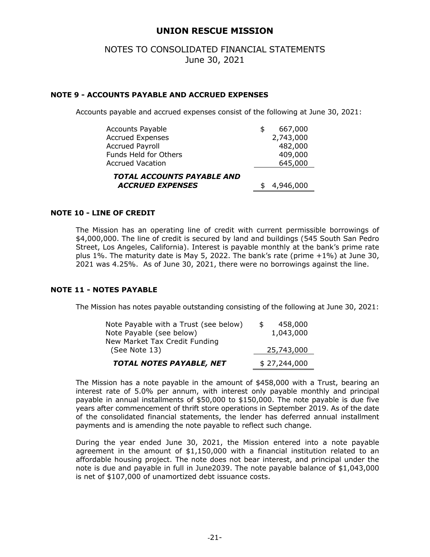## NOTES TO CONSOLIDATED FINANCIAL STATEMENTS June 30, 2021

#### **NOTE 9 - ACCOUNTS PAYABLE AND ACCRUED EXPENSES**

Accounts payable and accrued expenses consist of the following at June 30, 2021:

| 4,946,000     |
|---------------|
| 645,000       |
| 409,000       |
| 482,000       |
| 2,743,000     |
| \$<br>667,000 |
|               |

#### **NOTE 10 - LINE OF CREDIT**

 The Mission has an operating line of credit with current permissible borrowings of \$4,000,000. The line of credit is secured by land and buildings (545 South San Pedro Street, Los Angeles, California). Interest is payable monthly at the bank's prime rate plus 1%. The maturity date is May 5, 2022. The bank's rate (prime +1%) at June 30, 2021 was 4.25%. As of June 30, 2021, there were no borrowings against the line.

#### **NOTE 11 - NOTES PAYABLE**

The Mission has notes payable outstanding consisting of the following at June 30, 2021:

| Note Payable with a Trust (see below) | 458,000      |
|---------------------------------------|--------------|
| Note Payable (see below)              | 1,043,000    |
| New Market Tax Credit Funding         |              |
| (See Note 13)                         | 25,743,000   |
| TOTAL NOTES PAYABLE, NET              | \$27,244,000 |

The Mission has a note payable in the amount of \$458,000 with a Trust, bearing an interest rate of 5.0% per annum, with interest only payable monthly and principal payable in annual installments of \$50,000 to \$150,000. The note payable is due five years after commencement of thrift store operations in September 2019. As of the date of the consolidated financial statements, the lender has deferred annual installment payments and is amending the note payable to reflect such change.

During the year ended June 30, 2021, the Mission entered into a note payable agreement in the amount of \$1,150,000 with a financial institution related to an affordable housing project. The note does not bear interest, and principal under the note is due and payable in full in June2039. The note payable balance of \$1,043,000 is net of \$107,000 of unamortized debt issuance costs.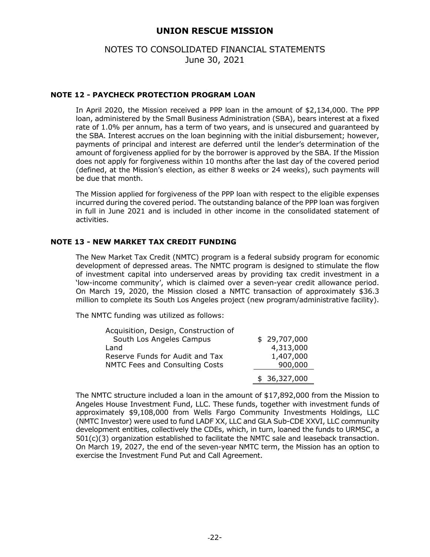## NOTES TO CONSOLIDATED FINANCIAL STATEMENTS June 30, 2021

#### **NOTE 12 - PAYCHECK PROTECTION PROGRAM LOAN**

In April 2020, the Mission received a PPP loan in the amount of \$2,134,000. The PPP loan, administered by the Small Business Administration (SBA), bears interest at a fixed rate of 1.0% per annum, has a term of two years, and is unsecured and guaranteed by the SBA. Interest accrues on the loan beginning with the initial disbursement; however, payments of principal and interest are deferred until the lender's determination of the amount of forgiveness applied for by the borrower is approved by the SBA. If the Mission does not apply for forgiveness within 10 months after the last day of the covered period (defined, at the Mission's election, as either 8 weeks or 24 weeks), such payments will be due that month.

The Mission applied for forgiveness of the PPP loan with respect to the eligible expenses incurred during the covered period. The outstanding balance of the PPP loan was forgiven in full in June 2021 and is included in other income in the consolidated statement of activities.

#### **NOTE 13 - NEW MARKET TAX CREDIT FUNDING**

The New Market Tax Credit (NMTC) program is a federal subsidy program for economic development of depressed areas. The NMTC program is designed to stimulate the flow of investment capital into underserved areas by providing tax credit investment in a 'low-income community', which is claimed over a seven-year credit allowance period. On March 19, 2020, the Mission closed a NMTC transaction of approximately \$36.3 million to complete its South Los Angeles project (new program/administrative facility).

The NMTC funding was utilized as follows:

| Acquisition, Design, Construction of |              |
|--------------------------------------|--------------|
| South Los Angeles Campus             | \$29,707,000 |
| Land                                 | 4,313,000    |
| Reserve Funds for Audit and Tax      | 1,407,000    |
| NMTC Fees and Consulting Costs       | 900,000      |
|                                      | \$36,327,000 |

The NMTC structure included a loan in the amount of \$17,892,000 from the Mission to Angeles House Investment Fund, LLC. These funds, together with investment funds of approximately \$9,108,000 from Wells Fargo Community Investments Holdings, LLC (NMTC Investor) were used to fund LADF XX, LLC and GLA Sub-CDE XXVI, LLC community development entities, collectively the CDEs, which, in turn, loaned the funds to URMSC, a 501(c)(3) organization established to facilitate the NMTC sale and leaseback transaction. On March 19, 2027, the end of the seven-year NMTC term, the Mission has an option to exercise the Investment Fund Put and Call Agreement.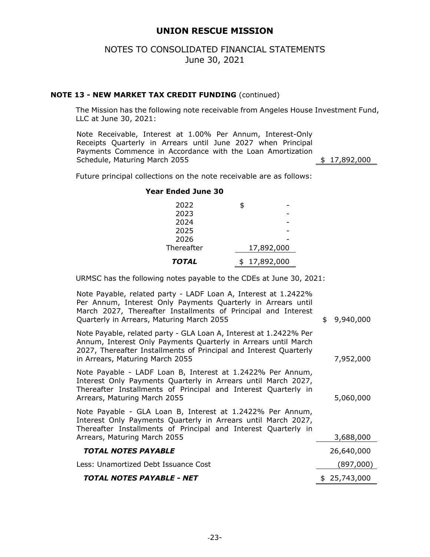## NOTES TO CONSOLIDATED FINANCIAL STATEMENTS June 30, 2021

#### **NOTE 13 - NEW MARKET TAX CREDIT FUNDING** (continued)

The Mission has the following note receivable from Angeles House Investment Fund, LLC at June 30, 2021:

Note Receivable, Interest at 1.00% Per Annum, Interest-Only Receipts Quarterly in Arrears until June 2027 when Principal Payments Commence in Accordance with the Loan Amortization Schedule, Maturing March 2055  $\qquad \qquad$  \$ 17,892,000

Future principal collections on the note receivable are as follows:

#### **Year Ended June 30**

| 2022         | \$               |
|--------------|------------------|
| 2023         |                  |
| 2024         |                  |
| 2025         |                  |
| 2026         |                  |
| Thereafter   | 17,892,000       |
| <b>TOTAL</b> | 17,892,000<br>\$ |

URMSC has the following notes payable to the CDEs at June 30, 2021:

Note Payable, related party - LADF Loan A, Interest at 1.2422% Per Annum, Interest Only Payments Quarterly in Arrears until March 2027, Thereafter Installments of Principal and Interest Quarterly in Arrears, Maturing March 2055  $\qquad \qquad \uparrow$  9,940,000 Note Payable, related party - GLA Loan A, Interest at 1.2422% Per Annum, Interest Only Payments Quarterly in Arrears until March 2027, Thereafter Installments of Principal and Interest Quarterly in Arrears, Maturing March 2055 7,952,000 Note Payable - LADF Loan B, Interest at 1.2422% Per Annum, Interest Only Payments Quarterly in Arrears until March 2027, Thereafter Installments of Principal and Interest Quarterly in Arrears, Maturing March 2055 5,060,000 Note Payable - GLA Loan B, Interest at 1.2422% Per Annum, Interest Only Payments Quarterly in Arrears until March 2027, Thereafter Installments of Principal and Interest Quarterly in Arrears, Maturing March 2055 3,688,000  *TOTAL NOTES PAYABLE* 26,640,000 Less: Unamortized Debt Issuance Cost (897,000) **TOTAL NOTES PAYABLE - NET** \$ 25,743,000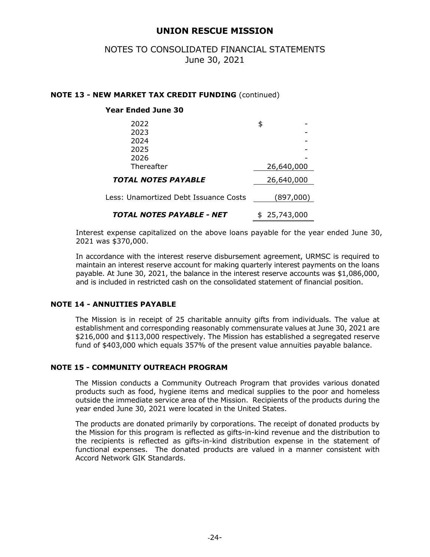# NOTES TO CONSOLIDATED FINANCIAL STATEMENTS June 30, 2021

#### **NOTE 13 - NEW MARKET TAX CREDIT FUNDING** (continued)

## **Year Ended June 30**

| 2022                                    |               |
|-----------------------------------------|---------------|
| 2023                                    |               |
| 2024                                    |               |
| 2025                                    |               |
| 2026                                    |               |
| Thereafter                              | 26,640,000    |
| <b>TOTAL NOTES PAYABLE</b>              | 26,640,000    |
| Less: Unamortized Debt Issuance Costs   | (897,000)     |
| <i><b>TOTAL NOTES PAYABLE - NET</b></i> | \$ 25,743,000 |

Interest expense capitalized on the above loans payable for the year ended June 30, 2021 was \$370,000.

In accordance with the interest reserve disbursement agreement, URMSC is required to maintain an interest reserve account for making quarterly interest payments on the loans payable. At June 30, 2021, the balance in the interest reserve accounts was \$1,086,000, and is included in restricted cash on the consolidated statement of financial position.

#### **NOTE 14 - ANNUITIES PAYABLE**

 The Mission is in receipt of 25 charitable annuity gifts from individuals. The value at establishment and corresponding reasonably commensurate values at June 30, 2021 are \$216,000 and \$113,000 respectively. The Mission has established a segregated reserve fund of \$403,000 which equals 357% of the present value annuities payable balance.

#### **NOTE 15 - COMMUNITY OUTREACH PROGRAM**

The Mission conducts a Community Outreach Program that provides various donated products such as food, hygiene items and medical supplies to the poor and homeless outside the immediate service area of the Mission. Recipients of the products during the year ended June 30, 2021 were located in the United States.

 The products are donated primarily by corporations. The receipt of donated products by the Mission for this program is reflected as gifts-in-kind revenue and the distribution to the recipients is reflected as gifts-in-kind distribution expense in the statement of functional expenses. The donated products are valued in a manner consistent with Accord Network GIK Standards.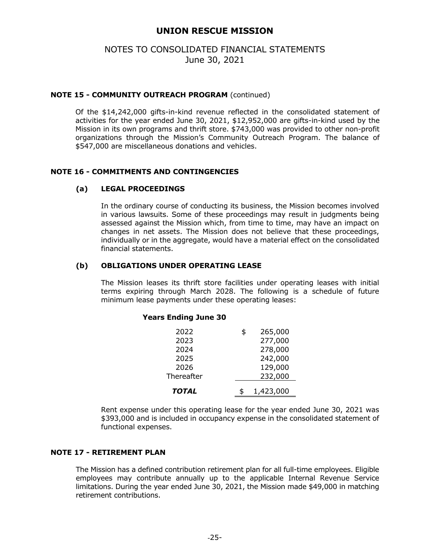## NOTES TO CONSOLIDATED FINANCIAL STATEMENTS June 30, 2021

#### **NOTE 15 - COMMUNITY OUTREACH PROGRAM** (continued)

 Of the \$14,242,000 gifts-in-kind revenue reflected in the consolidated statement of activities for the year ended June 30, 2021, \$12,952,000 are gifts-in-kind used by the Mission in its own programs and thrift store. \$743,000 was provided to other non-profit organizations through the Mission's Community Outreach Program. The balance of \$547,000 are miscellaneous donations and vehicles.

#### **NOTE 16 - COMMITMENTS AND CONTINGENCIES**

#### **(a) LEGAL PROCEEDINGS**

In the ordinary course of conducting its business, the Mission becomes involved in various lawsuits. Some of these proceedings may result in judgments being assessed against the Mission which, from time to time, may have an impact on changes in net assets. The Mission does not believe that these proceedings, individually or in the aggregate, would have a material effect on the consolidated financial statements.

#### **(b) OBLIGATIONS UNDER OPERATING LEASE**

The Mission leases its thrift store facilities under operating leases with initial terms expiring through March 2028. The following is a schedule of future minimum lease payments under these operating leases:

#### **Years Ending June 30**

| 2022         | \$<br>265,000      |
|--------------|--------------------|
| 2023<br>2024 | 277,000<br>278,000 |
| 2025         | 242,000            |
| 2026         | 129,000            |
| Thereafter   | 232,000            |
| <b>TOTAL</b> | 1,423,000          |

Rent expense under this operating lease for the year ended June 30, 2021 was \$393,000 and is included in occupancy expense in the consolidated statement of functional expenses.

### **NOTE 17 - RETIREMENT PLAN**

 The Mission has a defined contribution retirement plan for all full-time employees. Eligible employees may contribute annually up to the applicable Internal Revenue Service limitations. During the year ended June 30, 2021, the Mission made \$49,000 in matching retirement contributions.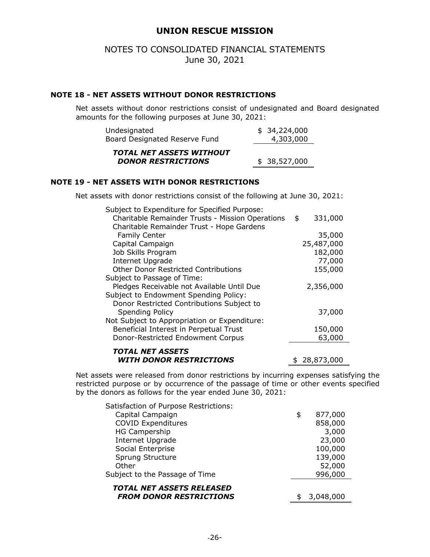## NOTES TO CONSOLIDATED FINANCIAL STATEMENTS June 30, 2021

#### **NOTE 18 - NET ASSETS WITHOUT DONOR RESTRICTIONS**

Net assets without donor restrictions consist of undesignated and Board designated amounts for the following purposes at June 30, 2021:

| Undesignated                                                 | \$34,224,000 |
|--------------------------------------------------------------|--------------|
| Board Designated Reserve Fund                                | 4,303,000    |
| <b>TOTAL NET ASSETS WITHOUT</b><br><b>DONOR RESTRICTIONS</b> | \$38,527,000 |
|                                                              |              |

#### **NOTE 19 - NET ASSETS WITH DONOR RESTRICTIONS**

Net assets with donor restrictions consist of the following at June 30, 2021:

| Subject to Expenditure for Specified Purpose:    |                  |
|--------------------------------------------------|------------------|
| Charitable Remainder Trusts - Mission Operations | \$<br>331,000    |
| Charitable Remainder Trust - Hope Gardens        |                  |
| Family Center                                    | 35,000           |
| Capital Campaign                                 | 25,487,000       |
| Job Skills Program                               | 182,000          |
| <b>Internet Upgrade</b>                          | 77,000           |
| <b>Other Donor Restricted Contributions</b>      | 155,000          |
| Subject to Passage of Time:                      |                  |
| Pledges Receivable not Available Until Due       | 2,356,000        |
| Subject to Endowment Spending Policy:            |                  |
| Donor Restricted Contributions Subject to        |                  |
| <b>Spending Policy</b>                           | 37,000           |
| Not Subject to Appropriation or Expenditure:     |                  |
| Beneficial Interest in Perpetual Trust           | 150,000          |
| Donor-Restricted Endowment Corpus                | 63,000           |
| <i><b>TOTAL NET ASSETS</b></i>                   |                  |
| <i><b>WITH DONOR RESTRICTIONS</b></i>            |                  |
|                                                  | \$<br>28,873,000 |

Net assets were released from donor restrictions by incurring expenses satisfying the restricted purpose or by occurrence of the passage of time or other events specified by the donors as follows for the year ended June 30, 2021:

| Satisfaction of Purpose Restrictions: |               |
|---------------------------------------|---------------|
| Capital Campaign                      | \$<br>877,000 |
| <b>COVID Expenditures</b>             | 858,000       |
| <b>HG Campership</b>                  | 3,000         |
| Internet Upgrade                      | 23,000        |
| Social Enterprise                     | 100,000       |
| Sprung Structure                      | 139,000       |
| Other                                 | 52,000        |
| Subject to the Passage of Time        | 996,000       |
| TOTAL NET ASSETS RELEASED             |               |
| <b>FROM DONOR RESTRICTIONS</b>        | 3,048,000     |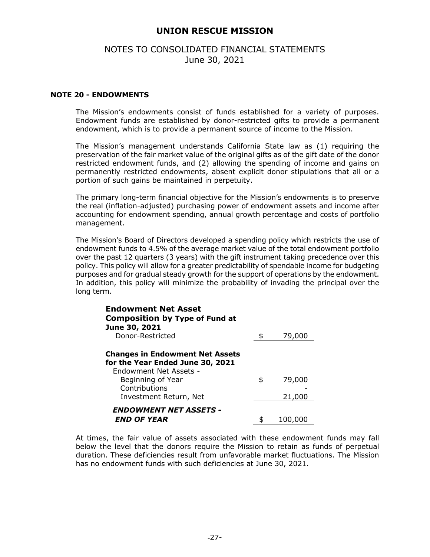## NOTES TO CONSOLIDATED FINANCIAL STATEMENTS June 30, 2021

#### **NOTE 20 - ENDOWMENTS**

The Mission's endowments consist of funds established for a variety of purposes. Endowment funds are established by donor-restricted gifts to provide a permanent endowment, which is to provide a permanent source of income to the Mission.

The Mission's management understands California State law as (1) requiring the preservation of the fair market value of the original gifts as of the gift date of the donor restricted endowment funds, and (2) allowing the spending of income and gains on permanently restricted endowments, absent explicit donor stipulations that all or a portion of such gains be maintained in perpetuity.

The primary long-term financial objective for the Mission's endowments is to preserve the real (inflation-adjusted) purchasing power of endowment assets and income after accounting for endowment spending, annual growth percentage and costs of portfolio management.

The Mission's Board of Directors developed a spending policy which restricts the use of endowment funds to 4.5% of the average market value of the total endowment portfolio over the past 12 quarters (3 years) with the gift instrument taking precedence over this policy. This policy will allow for a greater predictability of spendable income for budgeting purposes and for gradual steady growth for the support of operations by the endowment. In addition, this policy will minimize the probability of invading the principal over the long term.

| <b>Endowment Net Asset</b><br><b>Composition by Type of Fund at</b>                                  |              |
|------------------------------------------------------------------------------------------------------|--------------|
| June 30, 2021<br>Donor-Restricted                                                                    | 79,000       |
|                                                                                                      |              |
| <b>Changes in Endowment Net Assets</b><br>for the Year Ended June 30, 2021<br>Endowment Net Assets - |              |
| Beginning of Year                                                                                    | \$<br>79,000 |
| Contributions                                                                                        |              |
| Investment Return, Net                                                                               | 21,000       |
| <b>ENDOWMENT NET ASSETS -</b><br><i><b>END OF YEAR</b></i>                                           | 100,000      |

At times, the fair value of assets associated with these endowment funds may fall below the level that the donors require the Mission to retain as funds of perpetual duration. These deficiencies result from unfavorable market fluctuations. The Mission has no endowment funds with such deficiencies at June 30, 2021.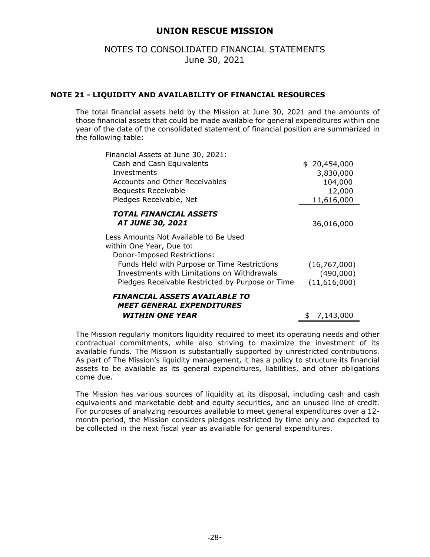## NOTES TO CONSOLIDATED FINANCIAL STATEMENTS June 30, 2021

## **NOTE 21 - LIQUIDITY AND AVAILABILITY OF FINANCIAL RESOURCES**

The total financial assets held by the Mission at June 30, 2021 and the amounts of those financial assets that could be made available for general expenditures within one year of the date of the consolidated statement of financial position are summarized in the following table:

| Financial Assets at June 30, 2021:                                                               |                |
|--------------------------------------------------------------------------------------------------|----------------|
| Cash and Cash Equivalents                                                                        | \$ 20,454,000  |
| Investments                                                                                      | 3,830,000      |
| <b>Accounts and Other Receivables</b>                                                            | 104,000        |
| Bequests Receivable                                                                              | 12,000         |
| Pledges Receivable, Net                                                                          | 11,616,000     |
| <b>TOTAL FINANCIAL ASSETS</b><br><i><b>AT JUNE 30, 2021</b></i>                                  | 36,016,000     |
| Less Amounts Not Available to Be Used<br>within One Year, Due to:<br>Donor-Imposed Restrictions: |                |
| Funds Held with Purpose or Time Restrictions                                                     | (16, 767, 000) |
| Investments with Limitations on Withdrawals                                                      | (490,000)      |
| Pledges Receivable Restricted by Purpose or Time                                                 | (11,616,000)   |
| FINANCIAL ASSETS AVAILABLE TO<br><b>MEET GENERAL EXPENDITURES</b>                                |                |
| <b>WITHIN ONE YEAR</b>                                                                           | \$7,143,000    |

The Mission regularly monitors liquidity required to meet its operating needs and other contractual commitments, while also striving to maximize the investment of its available funds. The Mission is substantially supported by unrestricted contributions. As part of The Mission's liquidity management, it has a policy to structure its financial assets to be available as its general expenditures, liabilities, and other obligations come due.

The Mission has various sources of liquidity at its disposal, including cash and cash equivalents and marketable debt and equity securities, and an unused line of credit. For purposes of analyzing resources available to meet general expenditures over a 12 month period, the Mission considers pledges restricted by time only and expected to be collected in the next fiscal year as available for general expenditures.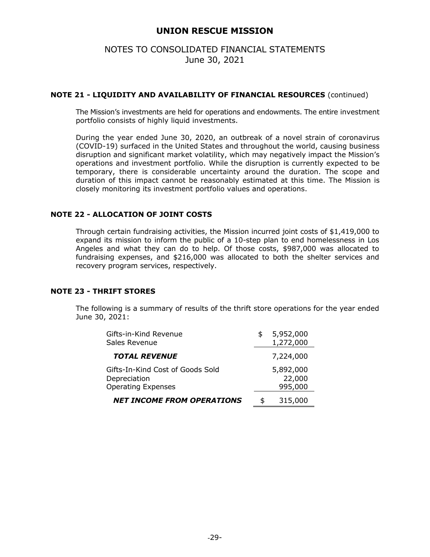## NOTES TO CONSOLIDATED FINANCIAL STATEMENTS June 30, 2021

#### **NOTE 21 - LIQUIDITY AND AVAILABILITY OF FINANCIAL RESOURCES** (continued)

The Mission's investments are held for operations and endowments. The entire investment portfolio consists of highly liquid investments.

During the year ended June 30, 2020, an outbreak of a novel strain of coronavirus (COVID-19) surfaced in the United States and throughout the world, causing business disruption and significant market volatility, which may negatively impact the Mission's operations and investment portfolio. While the disruption is currently expected to be temporary, there is considerable uncertainty around the duration. The scope and duration of this impact cannot be reasonably estimated at this time. The Mission is closely monitoring its investment portfolio values and operations.

#### **NOTE 22 - ALLOCATION OF JOINT COSTS**

Through certain fundraising activities, the Mission incurred joint costs of \$1,419,000 to expand its mission to inform the public of a 10-step plan to end homelessness in Los Angeles and what they can do to help. Of those costs, \$987,000 was allocated to fundraising expenses, and \$216,000 was allocated to both the shelter services and recovery program services, respectively.

#### **NOTE 23 - THRIFT STORES**

The following is a summary of results of the thrift store operations for the year ended June 30, 2021:

| Gifts-in-Kind Revenue<br>Sales Revenue                                        | \$<br>5,952,000<br>1,272,000   |
|-------------------------------------------------------------------------------|--------------------------------|
| <b>TOTAL REVENUE</b>                                                          | 7,224,000                      |
| Gifts-In-Kind Cost of Goods Sold<br>Depreciation<br><b>Operating Expenses</b> | 5,892,000<br>22,000<br>995,000 |
| <b>NET INCOME FROM OPERATIONS</b>                                             | \$<br>315,000                  |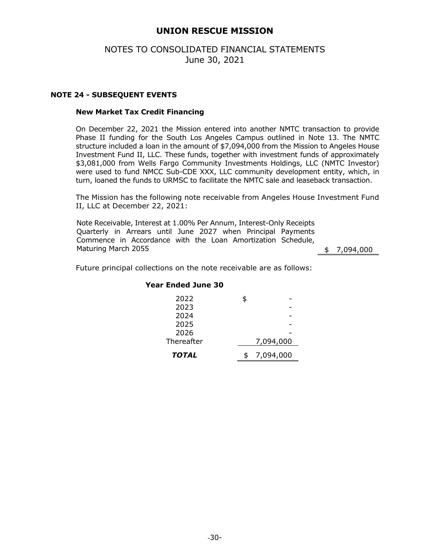## NOTES TO CONSOLIDATED FINANCIAL STATEMENTS June 30, 2021

#### **NOTE 24 - SUBSEQUENT EVENTS**

#### **New Market Tax Credit Financing**

On December 22, 2021 the Mission entered into another NMTC transaction to provide Phase II funding for the South Los Angeles Campus outlined in Note 13. The NMTC structure included a loan in the amount of \$7,094,000 from the Mission to Angeles House Investment Fund II, LLC. These funds, together with investment funds of approximately \$3,081,000 from Wells Fargo Community Investments Holdings, LLC (NMTC Investor) were used to fund NMCC Sub-CDE XXX, LLC community development entity, which, in turn, loaned the funds to URMSC to facilitate the NMTC sale and leaseback transaction.

The Mission has the following note receivable from Angeles House Investment Fund II, LLC at December 22, 2021:

Note Receivable, Interest at 1.00% Per Annum, Interest-Only Receipts Quarterly in Arrears until June 2027 when Principal Payments Commence in Accordance with the Loan Amortization Schedule, Maturing March 2055 **6 7,094,000** 

Future principal collections on the note receivable are as follows:

#### **Year Ended June 30**

| 2022         | S  |           |
|--------------|----|-----------|
| 2023         |    |           |
| 2024         |    |           |
| 2025         |    |           |
| 2026         |    |           |
| Thereafter   |    | 7,094,000 |
| <b>TOTAL</b> | \$ | 7,094,000 |